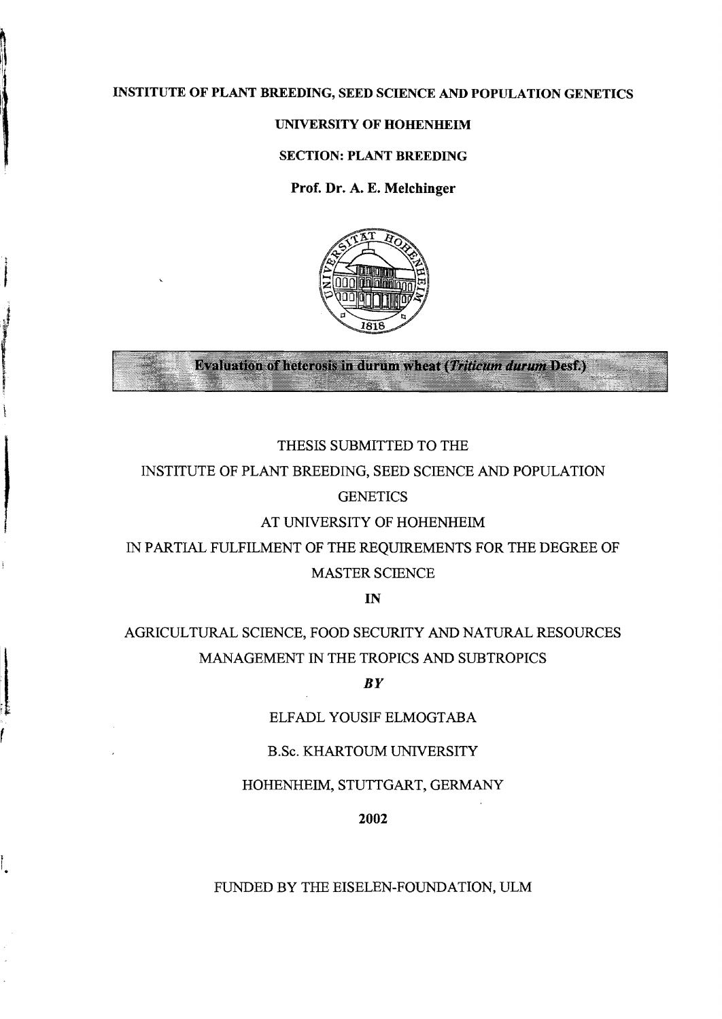# INSTITUTE OF PLANT BREEDING, SEED SCIENCE AND POPULATION GENETICS

# UNlVERSITY OF HOHENHEIM

#### SECTION: PLANT BREEDING

Prof. Dr. A. E. Melchinger



**Evaluation of heterosis in durum wheat (Triticum durum Desf.)** 

# THESIS SUBMITTED TO THE

# INSTITUTE OF PLANT BREEDING, SEED SCIENCE AND POPULATION

# **GENETICS**

# AT UNIVERSITY OF HOHENHEIM

IN PARTIAL FULFILMENT OF THE REQUIREMENTS FOR THE DEGREE OF MASTER SCIENCE

IN

# AGRICULTURAL SCIENCE, FOOD SECURITY AND NATURAL RESOURCES MANAGEMENT IN THE TROPICS AND SUBTROPICS

### *BY*

### ELFADL YOUSIF ELMOGTABA

### B.Sc. KHARTOUM UNIVERSITY

### HOHENHEIM, STUTTGART, GERMANY

2002

### FUNDED BY THE EISELEN-FOUNDATION, ULM